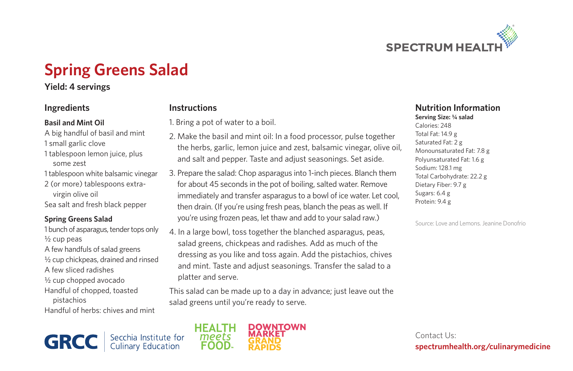

# **Spring Greens Salad**

**Instructions**

1. Bring a pot of water to a boil.

## **Yield: 4 servings**

## **Ingredients**

#### **Basil and Mint Oil**

- A big handful of basil and mint
- 1 small garlic clove
- some zest
- 
- 2 (or more) tablespoons extravirgin olive oil

#### **Spring Greens Salad**

1 bunch of asparagus, tender tops only  $\frac{1}{2}$  cup peas A few handfuls of salad greens ½ cup chickpeas, drained and rinsed A few sliced radishes

- ½ cup chopped avocado
- Handful of chopped, toasted
- pistachios

Handful of herbs: chives and mint

1 tablespoon lemon juice, plus

- 1 tablespoon white balsamic vinegar
- 
- Sea salt and fresh black pepper

platter and serve. This salad can be made up to a day in advance; just leave out the salad greens until you're ready to serve.

2. Make the basil and mint oil: In a food processor, pulse together the herbs, garlic, lemon juice and zest, balsamic vinegar, olive oil, and salt and pepper. Taste and adjust seasonings. Set aside. 3. Prepare the salad: Chop asparagus into 1-inch pieces. Blanch them for about 45 seconds in the pot of boiling, salted water. Remove immediately and transfer asparagus to a bowl of ice water. Let cool, then drain. (If you're using fresh peas, blanch the peas as well. If you're using frozen peas, let thaw and add to your salad raw.) 4. In a large bowl, toss together the blanched asparagus, peas, salad greens, chickpeas and radishes. Add as much of the dressing as you like and toss again. Add the pistachios, chives and mint. Taste and adjust seasonings. Transfer the salad to a

# Secchia Institute for<br>Culinary Education **GRCC**



#### **Nutrition Information Serving Size: 1/4 salad**

Calories: 248 Total Fat: 14.9 g Saturated Fat: 2 g Monounsaturated Fat: 7.8 g Polyunsaturated Fat: 1.6 g Sodium: 128.1 mg Total Carbohydrate: 22.2 g Dietary Fiber: 9.7 g Sugars: 6.4 g Protein: 9.4 g

Source: Love and Lemons. Jeanine Donofrio

Contact Us: **spectrumhealth.org/culinarymedicine**